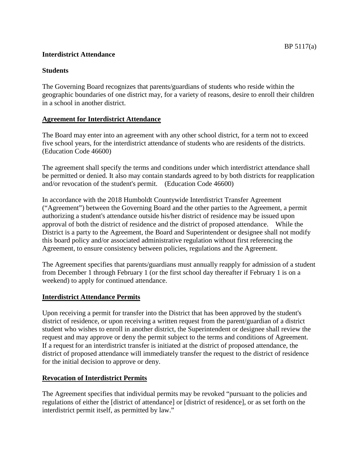# **Interdistrict Attendance**

### **Students**

The Governing Board recognizes that parents/guardians of students who reside within the geographic boundaries of one district may, for a variety of reasons, desire to enroll their children in a school in another district.

### **Agreement for Interdistrict Attendance**

The Board may enter into an agreement with any other school district, for a term not to exceed five school years, for the interdistrict attendance of students who are residents of the districts. (Education Code 46600)

The agreement shall specify the terms and conditions under which interdistrict attendance shall be permitted or denied. It also may contain standards agreed to by both districts for reapplication and/or revocation of the student's permit. (Education Code 46600)

In accordance with the 2018 Humboldt Countywide Interdistrict Transfer Agreement ("Agreement") between the Governing Board and the other parties to the Agreement, a permit authorizing a student's attendance outside his/her district of residence may be issued upon approval of both the district of residence and the district of proposed attendance. While the District is a party to the Agreement, the Board and Superintendent or designee shall not modify this board policy and/or associated administrative regulation without first referencing the Agreement, to ensure consistency between policies, regulations and the Agreement.

The Agreement specifies that parents/guardians must annually reapply for admission of a student from December 1 through February 1 (or the first school day thereafter if February 1 is on a weekend) to apply for continued attendance.

### **Interdistrict Attendance Permits**

Upon receiving a permit for transfer into the District that has been approved by the student's district of residence, or upon receiving a written request from the parent/guardian of a district student who wishes to enroll in another district, the Superintendent or designee shall review the request and may approve or deny the permit subject to the terms and conditions of Agreement. If a request for an interdistrict transfer is initiated at the district of proposed attendance, the district of proposed attendance will immediately transfer the request to the district of residence for the initial decision to approve or deny.

### **Revocation of Interdistrict Permits**

The Agreement specifies that individual permits may be revoked "pursuant to the policies and regulations of either the [district of attendance] or [district of residence], or as set forth on the interdistrict permit itself, as permitted by law."